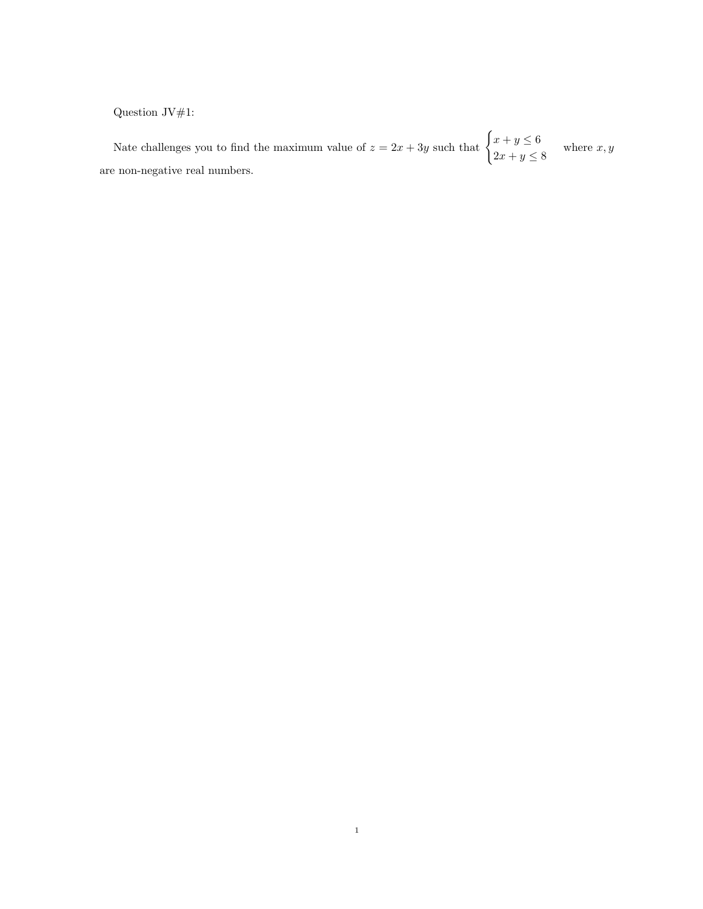Question  $\mathrm{JV}\#1:$ 

Nate challenges you to find the maximum value of  $z = 2x + 3y$  such that  $\begin{cases} x + y \leq 6 \\ 2 \end{cases}$  $2x + y \le 8$  where  $x, y$ are non-negative real numbers.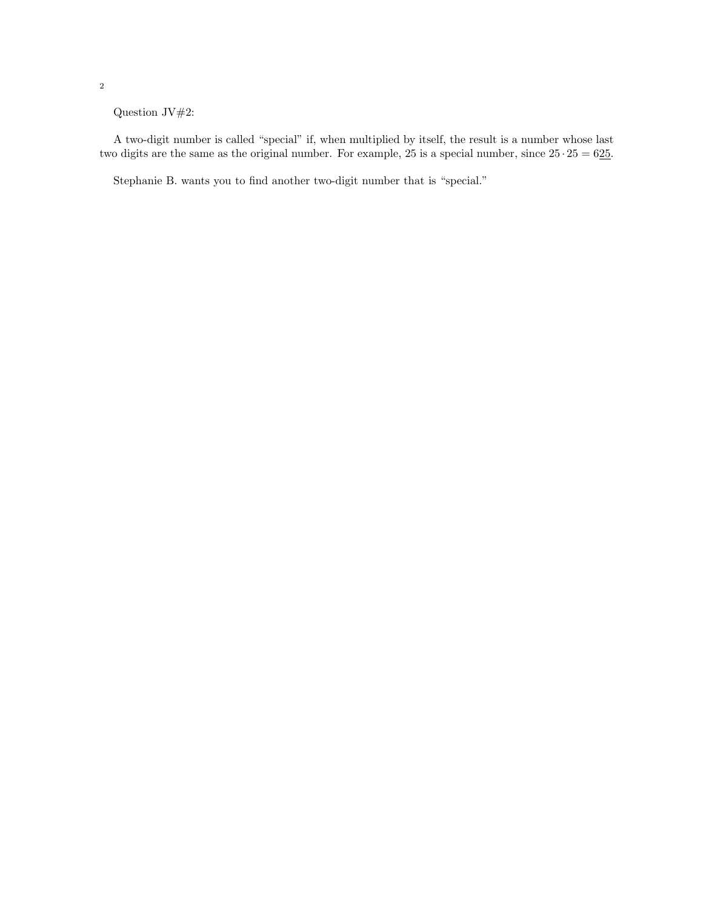Question JV#2:

A two-digit number is called "special" if, when multiplied by itself, the result is a number whose last two digits are the same as the original number. For example, 25 is a special number, since  $25 \cdot 25 = 625$ .

Stephanie B. wants you to find another two-digit number that is "special."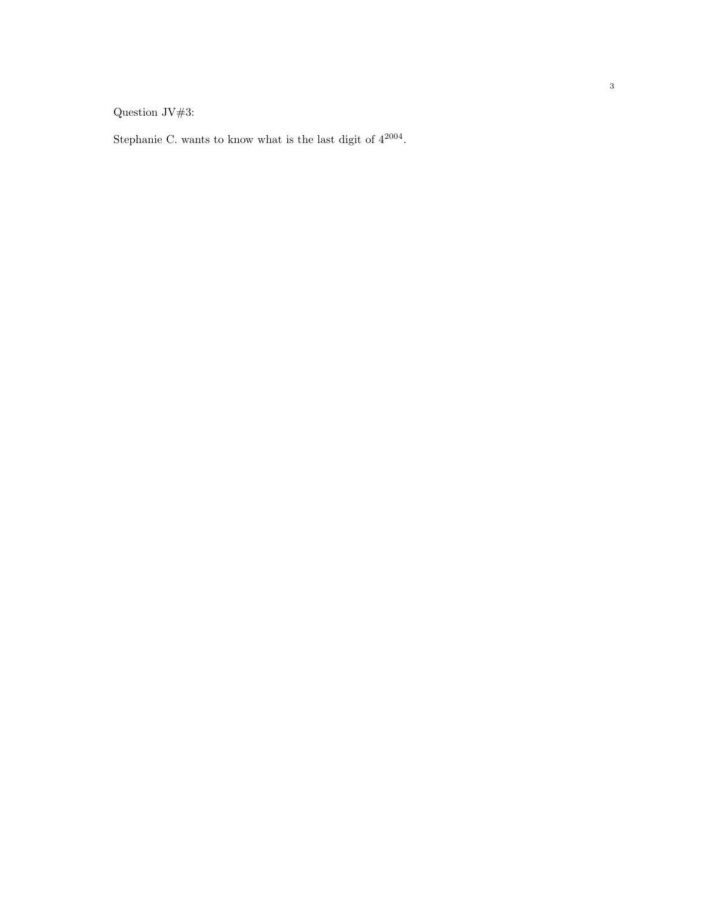Question JV#3:

Stephanie C. wants to know what is the last digit of  $4^{2004}$ .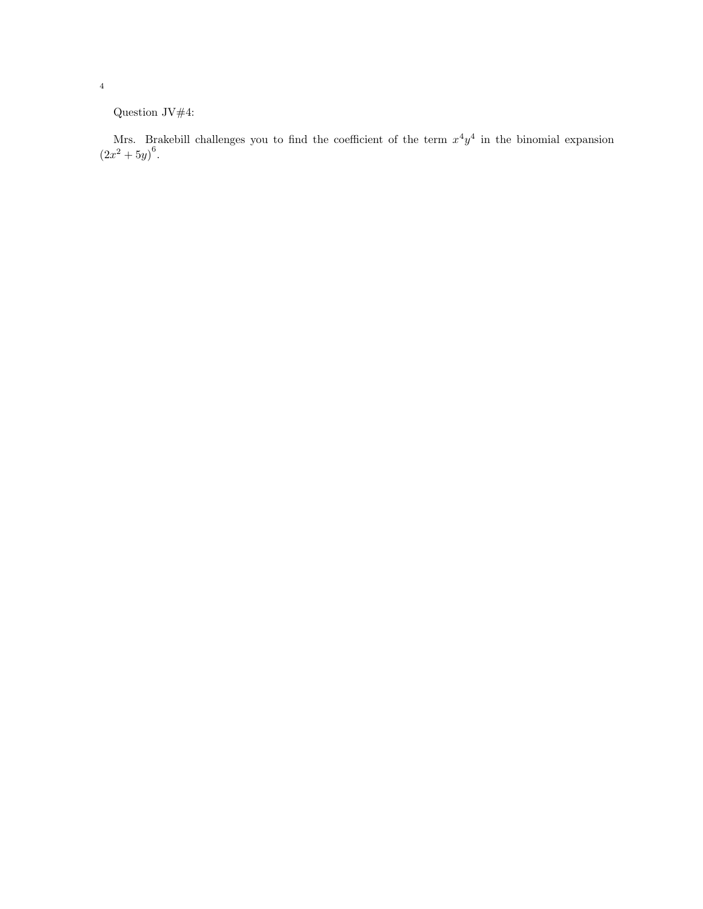Question JV#4:

Mrs. Brakebill challenges you to find the coefficient of the term  $x^4y^4$  in the binomial expansion  $(2x^2+5y)^6$ .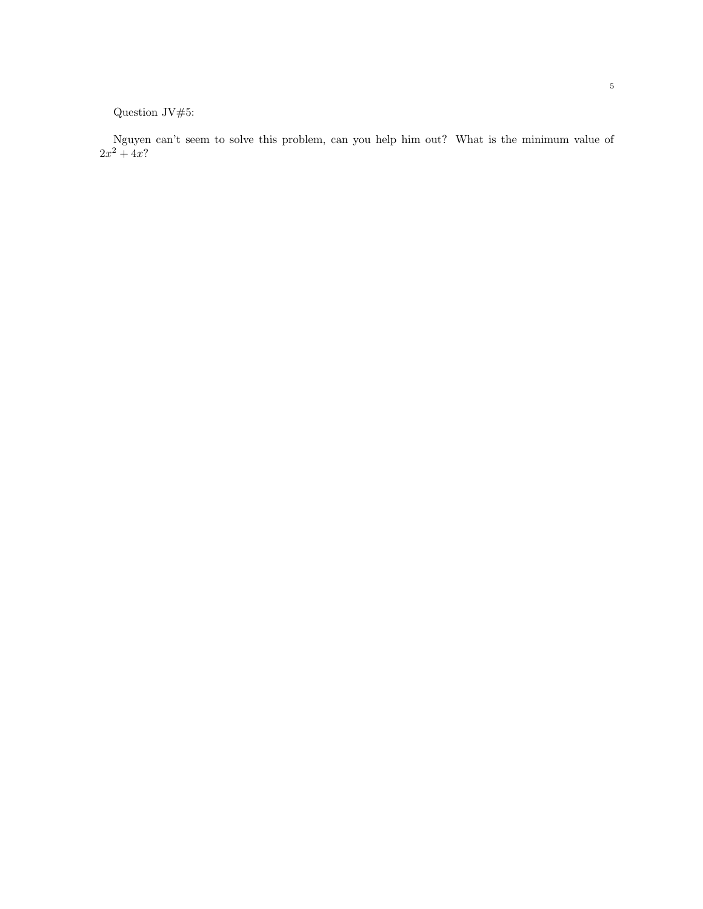Question JV#5:

Nguyen can't seem to solve this problem, can you help him out? What is the minimum value of  $2x^2 + 4x?$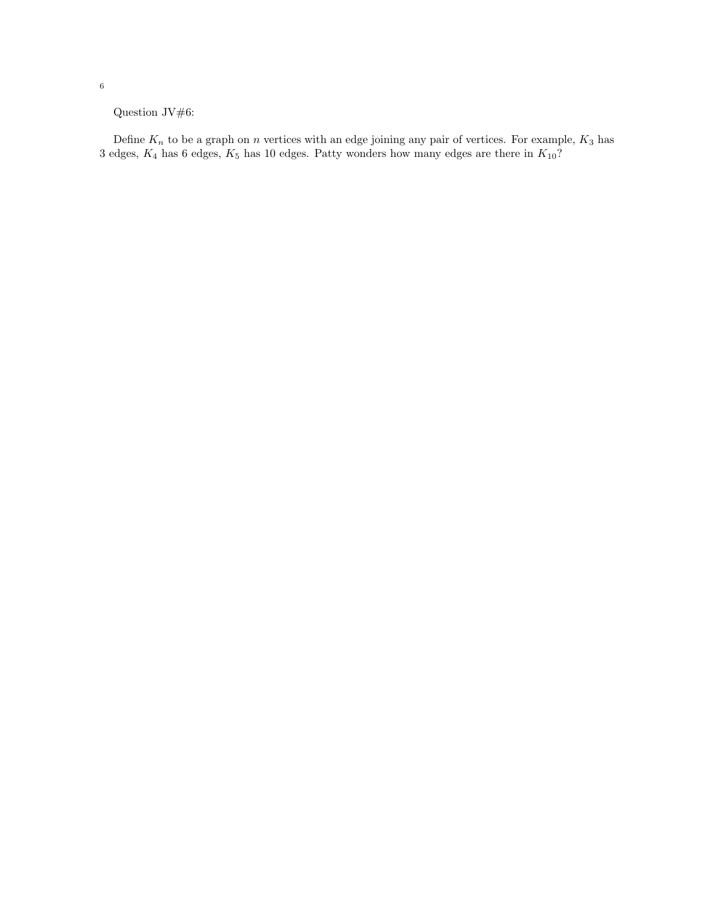Question JV#6:

Define  $K_n$  to be a graph on n vertices with an edge joining any pair of vertices. For example,  $K_3$  has 3 edges,  $K_4$  has 6 edges,  $K_5$  has 10 edges. Patty wonders how many edges are there in  $K_{10}$ ?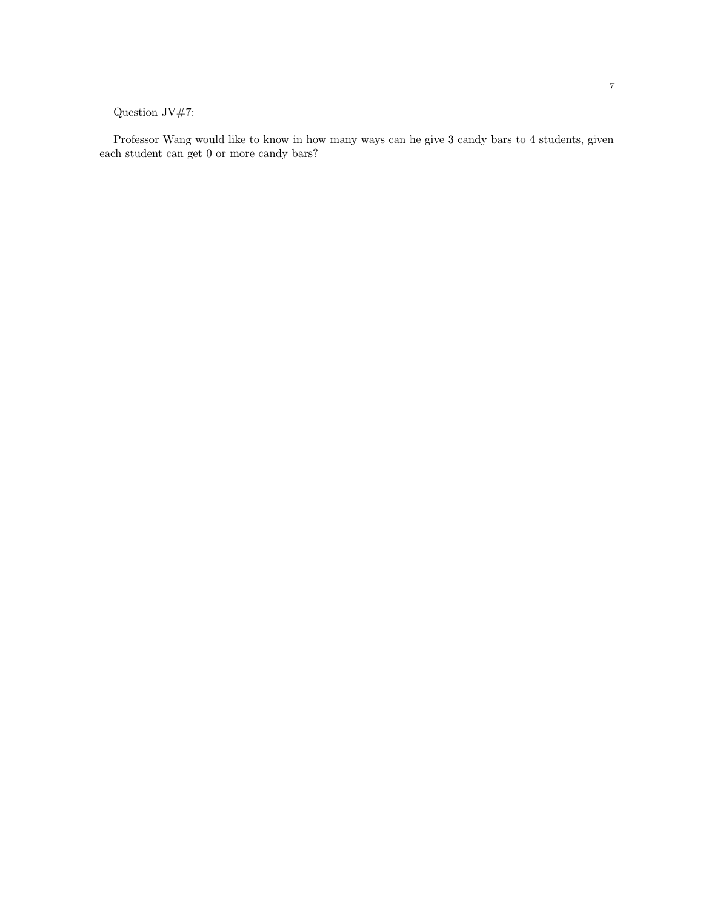## Question JV#7:

Professor Wang would like to know in how many ways can he give 3 candy bars to 4 students, given each student can get 0 or more candy bars?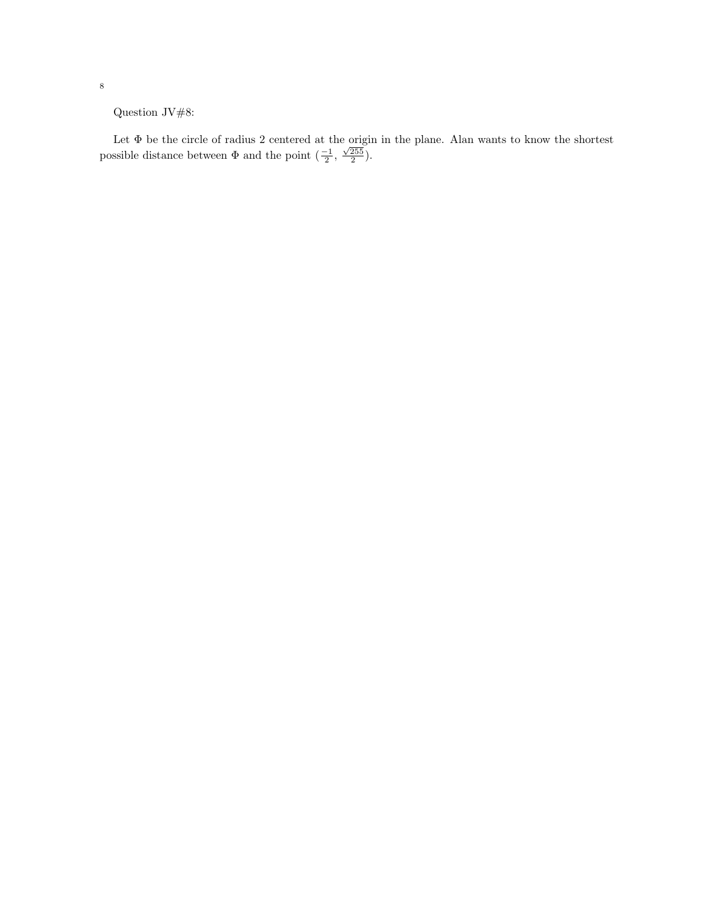Question JV#8:

Let Φ be the circle of radius 2 centered at the origin in the plane. Alan wants to know the shortest possible distance between  $\Phi$  and the point  $\left(\frac{-1}{2}, \frac{\sqrt{255}}{2}\right)$ .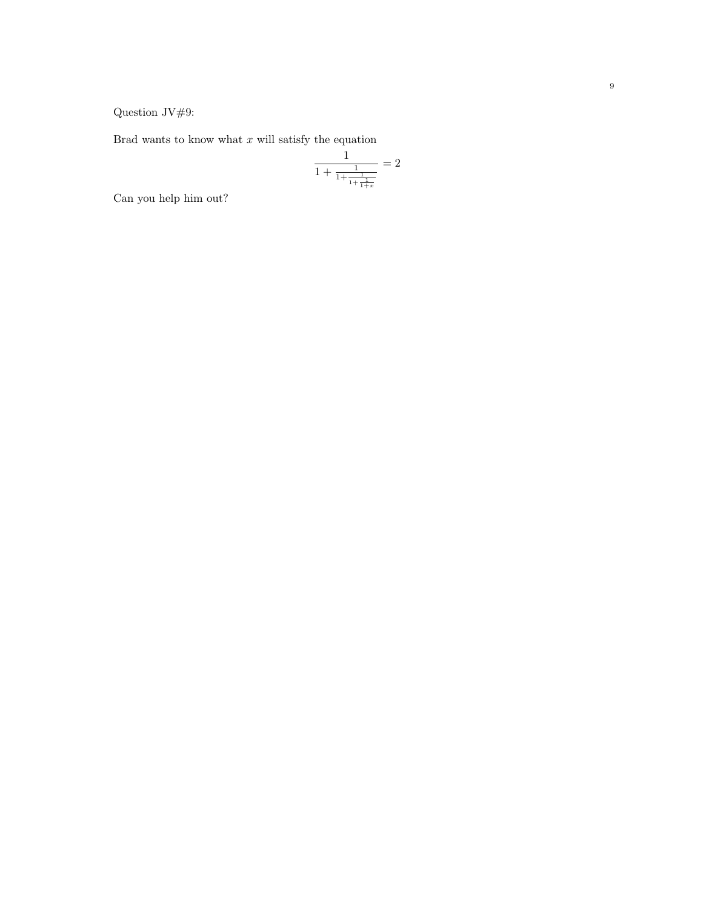Question JV#9:

Brad wants to kno w what x will satisfy the equation

$$
\frac{1}{1 + \frac{1}{1 + \frac{1}{1 + \frac{1}{1 + x}}}} = 2
$$

Can you help him out?